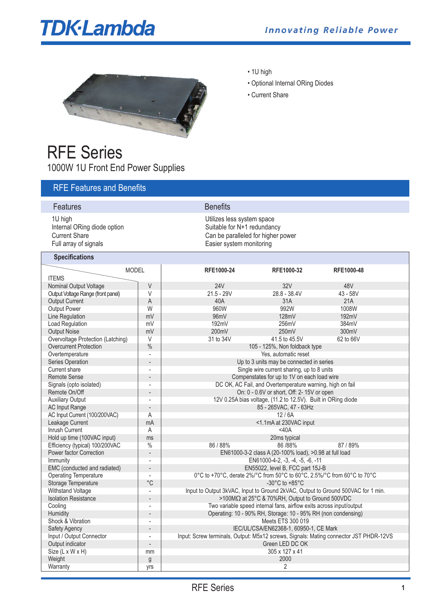# **TDK-Lambda**



## RFE Series 1000W 1U Front End Power Supplies

• 1U high

- Optional Internal ORing Diodes
- Current Share

| <b>RFE Features and Benefits</b>                                                        |                          |                                                                                       |                                                                                                                             |            |  |
|-----------------------------------------------------------------------------------------|--------------------------|---------------------------------------------------------------------------------------|-----------------------------------------------------------------------------------------------------------------------------|------------|--|
| Features                                                                                |                          | <b>Benefits</b>                                                                       |                                                                                                                             |            |  |
| 1U high<br>Internal ORing diode option<br><b>Current Share</b><br>Full array of signals |                          |                                                                                       | Utilizes less system space<br>Suitable for N+1 redundancy<br>Can be paralleled for higher power<br>Easier system monitoring |            |  |
| <b>Specifications</b>                                                                   |                          |                                                                                       |                                                                                                                             |            |  |
| <b>MODEL</b>                                                                            |                          | RFE1000-24                                                                            | RFE1000-32                                                                                                                  | RFE1000-48 |  |
| <b>ITEMS</b>                                                                            |                          |                                                                                       |                                                                                                                             |            |  |
| Nominal Output Voltage                                                                  | $\vee$                   | <b>24V</b>                                                                            | 32V                                                                                                                         | 48V        |  |
| Output Voltage Range (front panel)                                                      | V                        | $21.5 - 29V$                                                                          | $28.8 - 38.4V$                                                                                                              | 43 - 58V   |  |
| <b>Output Current</b>                                                                   | A                        | 40A                                                                                   | 31A                                                                                                                         | 21A        |  |
| <b>Output Power</b>                                                                     | W                        | 960W                                                                                  | 992W                                                                                                                        | 1008W      |  |
| Line Regulation                                                                         | mV                       | 96mV                                                                                  | 128mV                                                                                                                       | 192mV      |  |
| <b>Load Regulation</b>                                                                  | mV                       | 192mV                                                                                 | 256mV                                                                                                                       | 384mV      |  |
| <b>Output Noise</b>                                                                     | mV                       | 200mV                                                                                 | 250mV                                                                                                                       | 300mV      |  |
| Overvoltage Protection (Latching)                                                       | V                        | 31 to 34V                                                                             | 41.5 to 45.5V                                                                                                               | 62 to 66V  |  |
| <b>Overcurrent Protection</b>                                                           | $\frac{0}{0}$            | 105 - 125%, Non foldback type                                                         |                                                                                                                             |            |  |
| Overtemperature                                                                         |                          | Yes, automatic reset                                                                  |                                                                                                                             |            |  |
| Series Operation                                                                        |                          | Up to 3 units may be connected in series                                              |                                                                                                                             |            |  |
| Current share                                                                           |                          | Single wire current sharing, up to 8 units                                            |                                                                                                                             |            |  |
| <b>Remote Sense</b>                                                                     |                          | Compenstates for up to 1V on each load wire                                           |                                                                                                                             |            |  |
| Signals (opto isolated)                                                                 |                          | DC OK, AC Fail, and Overtemperature warning, high on fail                             |                                                                                                                             |            |  |
| Remote On/Off                                                                           |                          | On: 0 - 0.6V or short, Off: 2- 15V or open                                            |                                                                                                                             |            |  |
| <b>Auxiliary Output</b>                                                                 |                          | 12V 0.25A bias voltage, (11.2 to 12.5V). Built in ORing diode                         |                                                                                                                             |            |  |
| <b>AC Input Range</b>                                                                   |                          | 85 - 265VAC, 47 - 63Hz                                                                |                                                                                                                             |            |  |
| AC Input Current (100/200VAC)                                                           | Α                        | 12/6A                                                                                 |                                                                                                                             |            |  |
| Leakage Current                                                                         | mA                       | <1.1mA at 230VAC input                                                                |                                                                                                                             |            |  |
| Inrush Current                                                                          | Α                        | $<$ 40A                                                                               |                                                                                                                             |            |  |
| Hold up time (100VAC input)                                                             | ms                       | 20ms typical                                                                          |                                                                                                                             |            |  |
| Efficiency (typical) 100/200VAC                                                         | $\%$                     | 86 / 88%<br>86 / 88%<br>87 / 89%                                                      |                                                                                                                             |            |  |
| Power factor Correction                                                                 | L.                       | EN61000-3-2 class A (20-100% load), >0.98 at full load                                |                                                                                                                             |            |  |
| Immunity                                                                                |                          | EN61000-4-2, -3, -4, -5, -6, -11                                                      |                                                                                                                             |            |  |
| EMC (conducted and radiated)                                                            | $\overline{\phantom{0}}$ | EN55022, level B, FCC part 15J-B                                                      |                                                                                                                             |            |  |
| <b>Operating Temperature</b>                                                            |                          | 0°C to +70°C, derate 2%/°C from 50°C to 60°C, 2.5%/°C from 60°C to 70°C               |                                                                                                                             |            |  |
| Storage Temperature                                                                     | $^{\circ}C$              | -30 $^{\circ}$ C to +85 $^{\circ}$ C                                                  |                                                                                                                             |            |  |
| Withstand Voltage                                                                       | $\overline{a}$           | Input to Output 3kVAC, Input to Ground 2kVAC, Output to Ground 500VAC for 1 min.      |                                                                                                                             |            |  |
| <b>Isolation Resistance</b>                                                             |                          | >100MΩ at 25°C & 70%RH, Output to Ground 500VDC                                       |                                                                                                                             |            |  |
| Cooling                                                                                 |                          | Two variable speed internal fans, airflow exits across input/output                   |                                                                                                                             |            |  |
| Humidity                                                                                |                          | Operating: 10 - 90% RH, Storage: 10 - 95% RH (non condensing)                         |                                                                                                                             |            |  |
| Shock & Vibration                                                                       | $\overline{\phantom{a}}$ | Meets ETS 300 019                                                                     |                                                                                                                             |            |  |
| <b>Safety Agency</b>                                                                    |                          | IEC/UL/CSA/EN62368-1, 60950-1, CE Mark                                                |                                                                                                                             |            |  |
| Input / Output Connector                                                                |                          | Input: Screw terminals, Output: M5x12 screws, Signals: Mating connector JST PHDR-12VS |                                                                                                                             |            |  |
| Output indicator                                                                        |                          |                                                                                       | Green LED DC OK                                                                                                             |            |  |
| Size (L x W x H)                                                                        | mm                       |                                                                                       | 305 x 127 x 41                                                                                                              |            |  |
| Weight                                                                                  | g                        | 2000                                                                                  |                                                                                                                             |            |  |
| Warranty                                                                                | yrs                      |                                                                                       | $\overline{2}$                                                                                                              |            |  |
|                                                                                         |                          |                                                                                       |                                                                                                                             |            |  |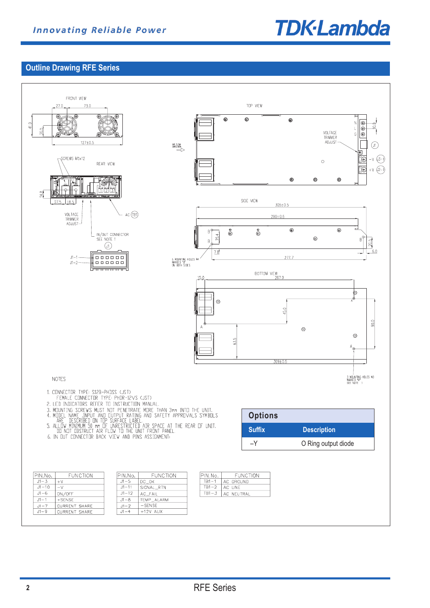

## **Outline Drawing RFE Series**



 $J1 - 7$ 

 $J1 - 9$ 

CURRENT SHARE

CURRENT SHARE

 $J1 - 2$ 

 $J1 - 4$ 

 $+12V$  AUX